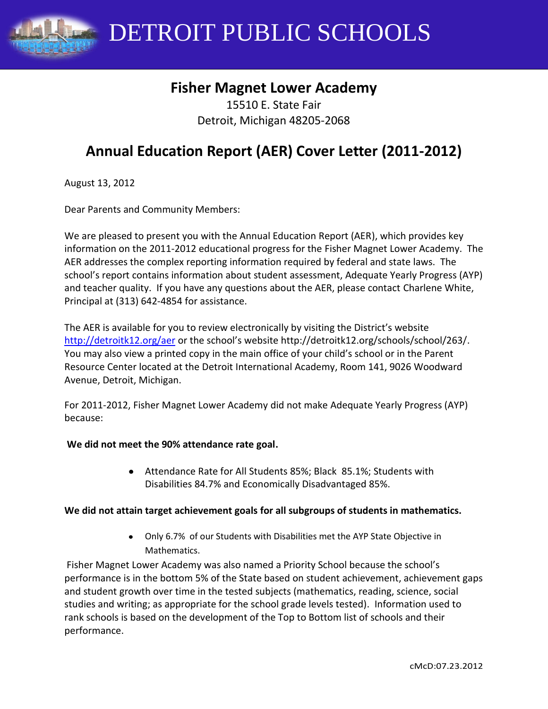DETROIT PUBLIC SCHOOLS

# **Fisher Magnet Lower Academy**

15510 E. State Fair Detroit, Michigan 48205-2068

# **Annual Education Report (AER) Cover Letter (2011-2012)**

August 13, 2012

Dear Parents and Community Members:

We are pleased to present you with the Annual Education Report (AER), which provides key information on the 2011-2012 educational progress for the Fisher Magnet Lower Academy. The AER addresses the complex reporting information required by federal and state laws. The school's report contains information about student assessment, Adequate Yearly Progress (AYP) and teacher quality. If you have any questions about the AER, please contact Charlene White, Principal at (313) 642-4854 for assistance.

The AER is available for you to review electronically by visiting the District's website <http://detroitk12.org/aer> or the school's website http://detroitk12.org/schools/school/263/. You may also view a printed copy in the main office of your child's school or in the Parent Resource Center located at the Detroit International Academy, Room 141, 9026 Woodward Avenue, Detroit, Michigan.

For 2011-2012, Fisher Magnet Lower Academy did not make Adequate Yearly Progress (AYP) because:

#### **We did not meet the 90% attendance rate goal.**

Attendance Rate for All Students 85%; Black 85.1%; Students with Disabilities 84.7% and Economically Disadvantaged 85%.

#### **We did not attain target achievement goals for all subgroups of students in mathematics.**

Only 6.7% of our Students with Disabilities met the AYP State Objective in Mathematics.

Fisher Magnet Lower Academy was also named a Priority School because the school's performance is in the bottom 5% of the State based on student achievement, achievement gaps and student growth over time in the tested subjects (mathematics, reading, science, social studies and writing; as appropriate for the school grade levels tested). Information used to rank schools is based on the development of the Top to Bottom list of schools and their performance.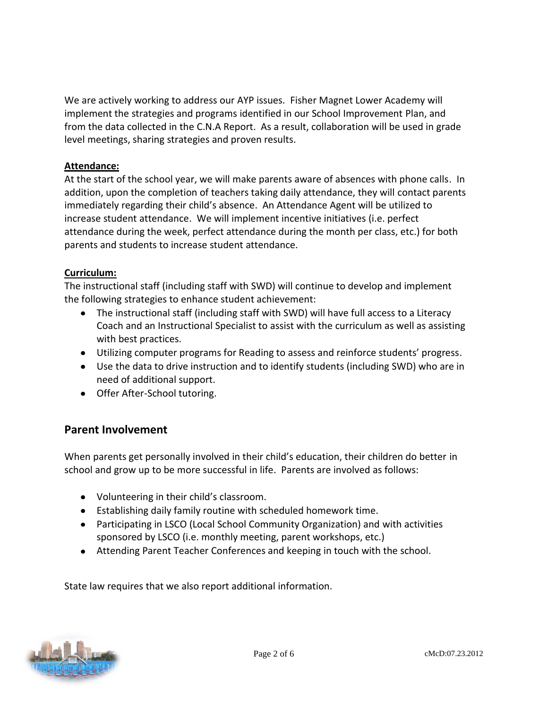We are actively working to address our AYP issues. Fisher Magnet Lower Academy will implement the strategies and programs identified in our School Improvement Plan, and from the data collected in the C.N.A Report. As a result, collaboration will be used in grade level meetings, sharing strategies and proven results.

#### **Attendance:**

At the start of the school year, we will make parents aware of absences with phone calls. In addition, upon the completion of teachers taking daily attendance, they will contact parents immediately regarding their child's absence. An Attendance Agent will be utilized to increase student attendance. We will implement incentive initiatives (i.e. perfect attendance during the week, perfect attendance during the month per class, etc.) for both parents and students to increase student attendance.

#### **Curriculum:**

The instructional staff (including staff with SWD) will continue to develop and implement the following strategies to enhance student achievement:

- The instructional staff (including staff with SWD) will have full access to a Literacy Coach and an Instructional Specialist to assist with the curriculum as well as assisting with best practices.
- Utilizing computer programs for Reading to assess and reinforce students' progress.
- Use the data to drive instruction and to identify students (including SWD) who are in need of additional support.
- Offer After-School tutoring.

### **Parent Involvement**

When parents get personally involved in their child's education, their children do better in school and grow up to be more successful in life. Parents are involved as follows:

- Volunteering in their child's classroom.
- Establishing daily family routine with scheduled homework time.
- Participating in LSCO (Local School Community Organization) and with activities sponsored by LSCO (i.e. monthly meeting, parent workshops, etc.)
- Attending Parent Teacher Conferences and keeping in touch with the school.

State law requires that we also report additional information.

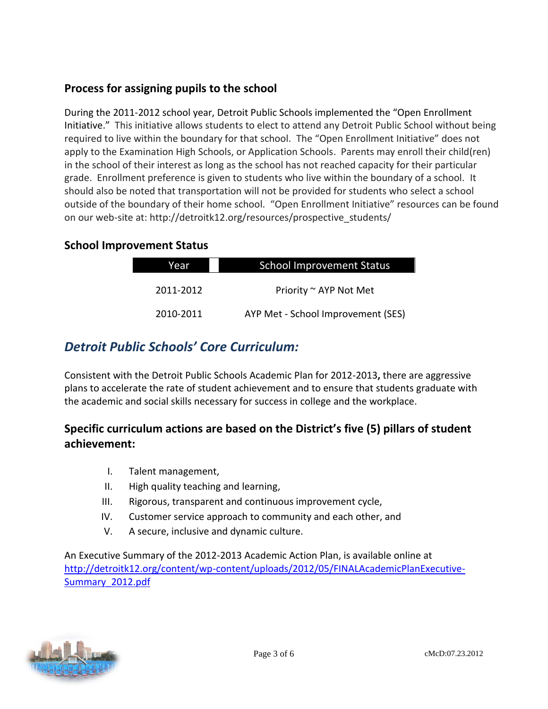# **Process for assigning pupils to the school**

During the 2011-2012 school year, Detroit Public Schools implemented the "Open Enrollment Initiative." This initiative allows students to elect to attend any Detroit Public School without being required to live within the boundary for that school. The "Open Enrollment Initiative" does not apply to the Examination High Schools, or Application Schools. Parents may enroll their child(ren) in the school of their interest as long as the school has not reached capacity for their particular grade. Enrollment preference is given to students who live within the boundary of a school. It should also be noted that transportation will not be provided for students who select a school outside of the boundary of their home school. "Open Enrollment Initiative" resources can be found on our web-site at: http://detroitk12.org/resources/prospective\_students/

#### **School Improvement Status**

| <b>School Improvement Status</b>   | Year      |
|------------------------------------|-----------|
| Priority ~ AYP Not Met             | 2011-2012 |
| AYP Met - School Improvement (SES) | 2010-2011 |

# *Detroit Public Schools' Core Curriculum:*

Consistent with the Detroit Public Schools Academic Plan for 2012-2013**,** there are aggressive plans to accelerate the rate of student achievement and to ensure that students graduate with the academic and social skills necessary for success in college and the workplace.

# **Specific curriculum actions are based on the District's five (5) pillars of student achievement:**

- I. Talent management,
- II. High quality teaching and learning,
- III. Rigorous, transparent and continuous improvement cycle,
- IV. Customer service approach to community and each other, and
- V. A secure, inclusive and dynamic culture.

An Executive Summary of the 2012-2013 Academic Action Plan, is available online at [http://detroitk12.org/content/wp-content/uploads/2012/05/FINALAcademicPlanExecutive-](http://detroitk12.org/content/wp-content/uploads/2012/05/FINALAcademicPlanExecutive-Summary_2012.pdf)[Summary\\_2012.pdf](http://detroitk12.org/content/wp-content/uploads/2012/05/FINALAcademicPlanExecutive-Summary_2012.pdf)

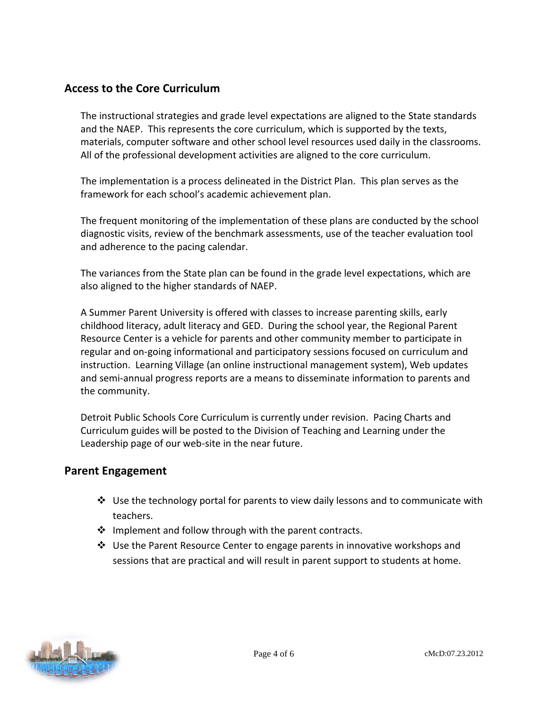### **Access to the Core Curriculum**

The instructional strategies and grade level expectations are aligned to the State standards and the NAEP. This represents the core curriculum, which is supported by the texts, materials, computer software and other school level resources used daily in the classrooms. All of the professional development activities are aligned to the core curriculum.

The implementation is a process delineated in the District Plan. This plan serves as the framework for each school's academic achievement plan.

The frequent monitoring of the implementation of these plans are conducted by the school diagnostic visits, review of the benchmark assessments, use of the teacher evaluation tool and adherence to the pacing calendar.

The variances from the State plan can be found in the grade level expectations, which are also aligned to the higher standards of NAEP.

A Summer Parent University is offered with classes to increase parenting skills, early childhood literacy, adult literacy and GED. During the school year, the Regional Parent Resource Center is a vehicle for parents and other community member to participate in regular and on-going informational and participatory sessions focused on curriculum and instruction. Learning Village (an online instructional management system), Web updates and semi-annual progress reports are a means to disseminate information to parents and the community.

Detroit Public Schools Core Curriculum is currently under revision. Pacing Charts and Curriculum guides will be posted to the Division of Teaching and Learning under the Leadership page of our web-site in the near future.

#### **Parent Engagement**

- $\div$  Use the technology portal for parents to view daily lessons and to communicate with teachers.
- $\cdot \cdot$  Implement and follow through with the parent contracts.
- Use the Parent Resource Center to engage parents in innovative workshops and sessions that are practical and will result in parent support to students at home.

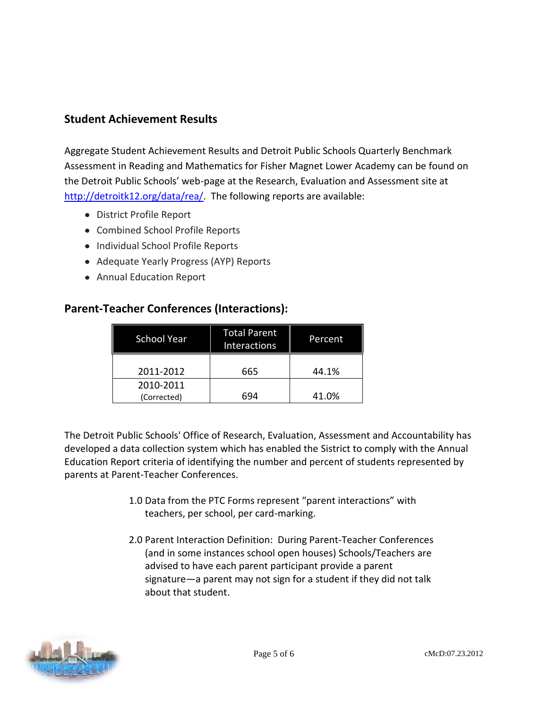### **Student Achievement Results**

Aggregate Student Achievement Results and Detroit Public Schools Quarterly Benchmark Assessment in Reading and Mathematics for Fisher Magnet Lower Academy can be found on the Detroit Public Schools' web-page at the Research, Evaluation and Assessment site at [http://detroitk12.org/data/rea/.](http://detroitk12.org/data/rea/) The following reports are available:

- District Profile Report
- Combined School Profile Reports
- Individual School Profile Reports
- Adequate Yearly Progress (AYP) Reports
- Annual Education Report

#### **Parent-Teacher Conferences (Interactions):**

| <b>School Year</b>       | <b>Total Parent</b><br><b>Interactions</b> | Percent |
|--------------------------|--------------------------------------------|---------|
| 2011-2012                | 665                                        | 44.1%   |
| 2010-2011<br>(Corrected) | 694                                        | 41.0%   |

The Detroit Public Schools' Office of Research, Evaluation, Assessment and Accountability has developed a data collection system which has enabled the Sistrict to comply with the Annual Education Report criteria of identifying the number and percent of students represented by parents at Parent-Teacher Conferences.

- 1.0 Data from the PTC Forms represent "parent interactions" with teachers, per school, per card-marking.
- 2.0 Parent Interaction Definition: During Parent-Teacher Conferences (and in some instances school open houses) Schools/Teachers are advised to have each parent participant provide a parent signature—a parent may not sign for a student if they did not talk about that student.